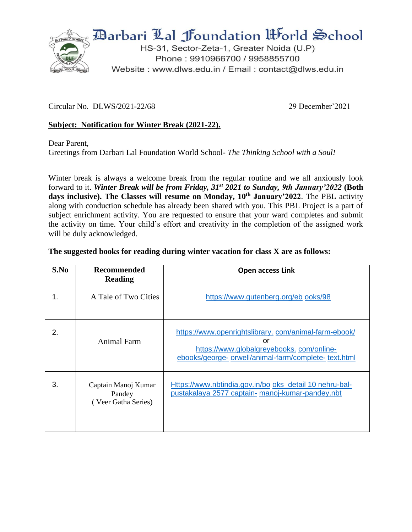

Circular No. DLWS/2021-22/68 29 December'2021

## **Subject: Notification for Winter Break (2021-22).**

Dear Parent,

Greetings from Darbari Lal Foundation World School- *The Thinking School with a Soul!*

Winter break is always a welcome break from the regular routine and we all anxiously look forward to it. *Winter Break will be from Friday, 31st 2021 to Sunday, 9th January'2022* **(Both days inclusive). The Classes will resume on Monday, 10 th January'2022**. The PBL activity along with conduction schedule has already been shared with you. This PBL Project is a part of subject enrichment activity. You are requested to ensure that your ward completes and submit the activity on time. Your child's effort and creativity in the completion of the assigned work will be duly acknowledged.

## **The suggested books for reading during winter vacation for class X are as follows:**

| S.No | <b>Recommended</b><br><b>Reading</b>                 | <b>Open access Link</b>                                                                                                                                         |
|------|------------------------------------------------------|-----------------------------------------------------------------------------------------------------------------------------------------------------------------|
| 1.   | A Tale of Two Cities                                 | https://www.gutenberg.org/eb ooks/98                                                                                                                            |
| 2.   | Animal Farm                                          | https://www.openrightslibrary.com/animal-farm-ebook/<br>or<br>https://www.globalgreyebooks.com/online-<br>ebooks/george- orwell/animal-farm/complete- text.html |
| 3.   | Captain Manoj Kumar<br>Pandey<br>(Veer Gatha Series) | Https://www.nbtindia.gov.in/bo oks_detail 10 nehru-bal-<br>pustakalaya 2577 captain- manoj-kumar-pandey.nbt                                                     |